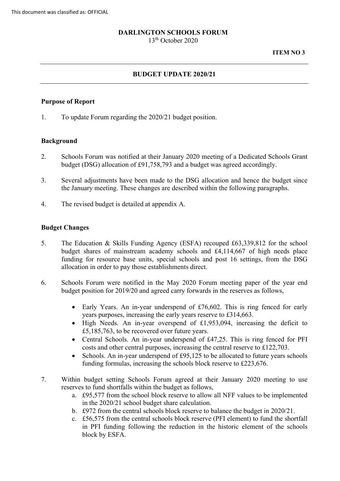#### **DARLINGTON SCHOOLS FORUM**

13th October 2020

#### **ITEM NO 3**

#### **BUDGET UPDATE 2020/21**

#### **Purpose of Report**

1. To update Forum regarding the 2020/21 budget position.

#### **Background**

- 2. Schools Forum was notified at their January 2020 meeting of a Dedicated Schools Grant budget (DSG) allocation of £91,758,793 and a budget was agreed accordingly.
- 3. Several adjustments have been made to the DSG allocation and hence the budget since the January meeting. These changes are described within the following paragraphs.
- 4. The revised budget is detailed at appendix A.

#### **Budget Changes**

- 5. The Education & Skills Funding Agency (ESFA) recouped £63,339,812 for the school budget shares of mainstream academy schools and £4,114,667 of high needs place funding for resource base units, special schools and post 16 settings, from the DSG allocation in order to pay those establishments direct.
- 6. Schools Forum were notified in the May 2020 Forum meeting paper of the year end budget position for 2019/20 and agreed carry forwards in the reserves as follows,
	- years purposes, increasing the early years reserve to £314,663. • Early Years. An in-year underspend of £76,602. This is ring fenced for early
	- £5,185,763, to be recovered over future years. • High Needs. An in-year overspend of £1,953,094, increasing the deficit to
	- • Central Schools. An in-year underspend of £47,25. This is ring fenced for PFI costs and other central purposes, increasing the central reserve to £122,703.
	- Schools. An in-year underspend of £95,125 to be allocated to future years schools funding formulas, increasing the schools block reserve to £223,676.
- 7. Within budget setting Schools Forum agreed at their January 2020 meeting to use reserves to fund shortfalls within the budget as follows,
	- a. £95,577 from the school block reserve to allow all NFF values to be implemented in the 2020/21 school budget share calculation.
	- b. £972 from the central schools block reserve to balance the budget in 2020/21.
	- c. £56,575 from the central schools block reserve (PFI element) to fund the shortfall in PFI funding following the reduction in the historic element of the schools block by ESFA.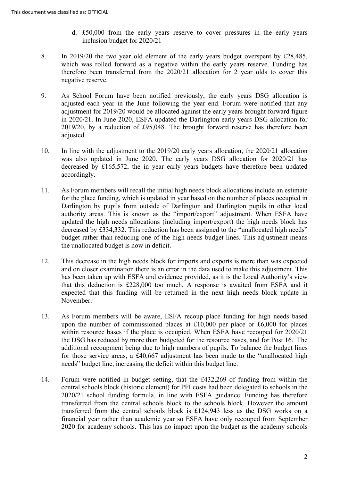- d. £50,000 from the early years reserve to cover pressures in the early years inclusion budget for 2020/21
- negative reserve. 8. In 2019/20 the two year old element of the early years budget overspent by £28,485, which was rolled forward as a negative within the early years reserve. Funding has therefore been transferred from the 2020/21 allocation for 2 year olds to cover this
- negative reserve.<br>As School Forum have been notified previously, the early years DSG allocation is 2019/20, by a reduction of £95,048. The brought forward reserve has therefore been 9. adjusted each year in the June following the year end. Forum were notified that any adjustment for 2019/20 would be allocated against the early years brought forward figure in 2020/21. In June 2020, ESFA updated the Darlington early years DSG allocation for adjusted.
- In line with the adjustment to the 2019/20 early years allocation, the 2020/21 allocation 10. was also updated in June 2020. The early years DSG allocation for 2020/21 has decreased by £165,572, the in year early years budgets have therefore been updated accordingly.
- authority areas. This is known as the "import/export" adjustment. When ESFA have budget rather than reducing one of the high needs budget lines. This adjustment means the unallocated budget is now in deficit. 11. As Forum members will recall the initial high needs block allocations include an estimate for the place funding, which is updated in year based on the number of places occupied in Darlington by pupils from outside of Darlington and Darlington pupils in other local updated the high needs allocations (including import/export) the high needs block has decreased by £334,332. This reduction has been assigned to the "unallocated high needs"
- and on closer examination there is an error in the data used to make this adjustment. This has been taken up with ESFA and evidence provided, as it is the Local Authority's view that this deduction is £228,000 too much. A response is awaited from ESFA and it 12. This decrease in the high needs block for imports and exports is more than was expected expected that this funding will be returned in the next high needs block update in November.
- within resource bases if the place is occupied. When ESFA have recouped for 2020/21 needs" budget line, increasing the deficit within this budget line. 13. As Forum members will be aware, ESFA recoup place funding for high needs based upon the number of commissioned places at  $£10,000$  per place or  $£6,000$  for places the DSG has reduced by more than budgeted for the resource bases, and for Post 16. The additional recoupment being due to high numbers of pupils. To balance the budget lines for those service areas, a £40,667 adjustment has been made to the "unallocated high
- central schools block (historic element) for PFI costs had been delegated to schools in the 2020/21 school funding formula, in line with ESFA guidance. Funding has therefore transferred from the central schools block is £124,943 less as the DSG works on a 14. Forum were notified in budget setting, that the  $£432,269$  of funding from within the transferred from the central schools block to the schools block. However the amount financial year rather than academic year so ESFA have only recouped from September 2020 for academy schools. This has no impact upon the budget as the academy schools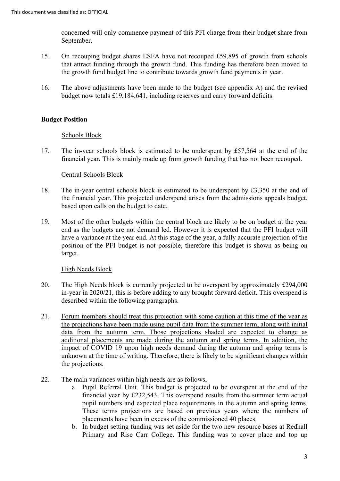concerned will only commence payment of this PFI charge from their budget share from September.

- 15. On recouping budget shares ESFA have not recouped £59,895 of growth from schools that attract funding through the growth fund. This funding has therefore been moved to the growth fund budget line to contribute towards growth fund payments in year.
- 16. The above adjustments have been made to the budget (see appendix A) and the revised budget now totals £19,184,641, including reserves and carry forward deficits.

# **Budget Position**

### Schools Block

 financial year. This is mainly made up from growth funding that has not been recouped. 17. The in-year schools block is estimated to be underspent by £57,564 at the end of the

# Central Schools Block

- 18. The in-year central schools block is estimated to be underspent by £3,350 at the end of the financial year. This projected underspend arises from the admissions appeals budget, based upon calls on the budget to date.
- end as the budgets are not demand led. However it is expected that the PFI budget will have a variance at the year end. At this stage of the year, a fully accurate projection of the 19. Most of the other budgets within the central block are likely to be on budget at the year position of the PFI budget is not possible, therefore this budget is shown as being on target.

### High Needs Block

- 20. The High Needs block is currently projected to be overspent by approximately £294,000 in-year in 2020/21, this is before adding to any brought forward deficit. This overspend is described within the following paragraphs.
- the projections have been made using pupil data from the summer term, along with initial additional placements are made during the autumn and spring terms. In addition, the 21. Forum members should treat this projection with some caution at this time of the year as data from the autumn term. Those projections shaded are expected to change as impact of COVID 19 upon high needs demand during the autumn and spring terms is unknown at the time of writing. Therefore, there is likely to be significant changes within the projections.
- 22. The main variances within high needs are as follows,
	- a. Pupil Referral Unit. This budget is projected to be overspent at the end of the financial year by £232,543. This overspend results from the summer term actual pupil numbers and expected place requirements in the autumn and spring terms. These terms projections are based on previous years where the numbers of placements have been in excess of the commissioned 40 places.
	- b. In budget setting funding was set aside for the two new resource bases at Redhall Primary and Rise Carr College. This funding was to cover place and top up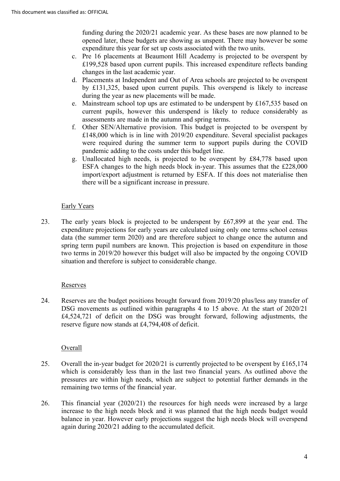opened later, these budgets are showing as unspent. There may however be some funding during the 2020/21 academic year. As these bases are now planned to be expenditure this year for set up costs associated with the two units.

- £199,528 based upon current pupils. This increased expenditure reflects banding changes in the last academic year. c. Pre 16 placements at Beaumont Hill Academy is projected to be overspent by
- d. Placements at Independent and Out of Area schools are projected to be overspent by £131,325, based upon current pupils. This overspend is likely to increase during the year as new placements will be made.
- assessments are made in the autumn and spring terms. e. Mainstream school top ups are estimated to be underspent by £167,535 based on current pupils, however this underspend is likely to reduce considerably as
- f. Other SEN/Alternative provision. This budget is projected to be overspent by £148,000 which is in line with 2019/20 expenditure. Several specialist packages were required during the summer term to support pupils during the COVID pandemic adding to the costs under this budget line.
- g. Unallocated high needs, is projected to be overspent by £84,778 based upon import/export adjustment is returned by ESFA. If this does not materialise then ESFA changes to the high needs block in-year. This assumes that the £228,000 there will be a significant increase in pressure.

# Early Years

 expenditure projections for early years are calculated using only one terms school census 23. The early years block is projected to be underspent by £67,899 at the year end. The data (the summer term 2020) and are therefore subject to change once the autumn and spring term pupil numbers are known. This projection is based on expenditure in those two terms in 2019/20 however this budget will also be impacted by the ongoing COVID situation and therefore is subject to considerable change.

### Reserves

 reserve figure now stands at £4,794,408 of deficit. 24. Reserves are the budget positions brought forward from 2019/20 plus/less any transfer of DSG movements as outlined within paragraphs 4 to 15 above. At the start of 2020/21 £4,524,721 of deficit on the DSG was brought forward, following adjustments, the

### **Overall**

- Overall the in-year budget for 2020/21 is currently projected to be overspent by £165,174 pressures are within high needs, which are subject to potential further demands in the 25. which is considerably less than in the last two financial years. As outlined above the remaining two terms of the financial year.
- 26. This financial year (2020/21) the resources for high needs were increased by a large increase to the high needs block and it was planned that the high needs budget would balance in year. However early projections suggest the high needs block will overspend again during 2020/21 adding to the accumulated deficit.